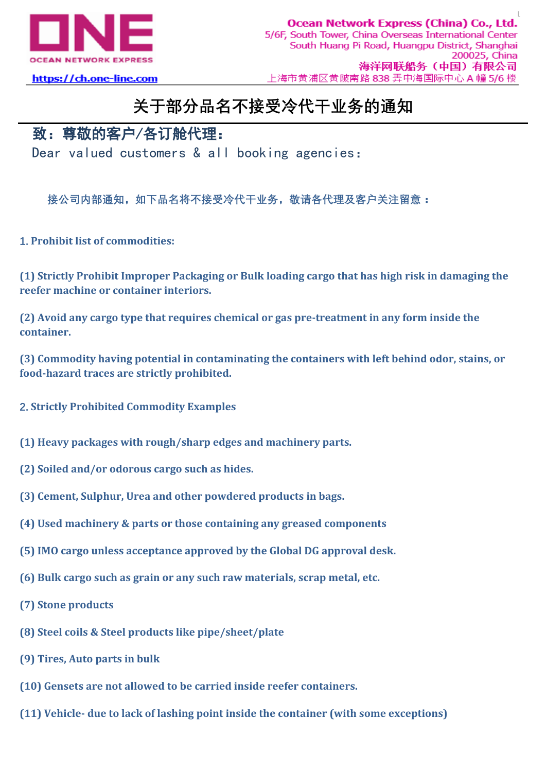

## https://ch.one-line.com

## **关于部分品名不接受冷代干业务的通知**

## 致:尊敬的客户/各订舱代理:

Dear valued customers & all booking agencies:

**接公司内部通知,如下品名将不接受冷代干业务,敬请各代理及客户关注留意:**

**1. Prohibit list of commodities:**

**(1) Strictly Prohibit Improper Packaging or Bulk loading cargo that has high risk in damaging the reefer machine or container interiors.**

**(2) Avoid any cargo type that requires chemical or gas pre-treatment in any form inside the container.**

**(3) Commodity having potential in contaminating the containers with left behind odor, stains, or food-hazard traces are strictly prohibited.**

- **2. Strictly Prohibited Commodity Examples**
- **(1) Heavy packages with rough/sharp edges and machinery parts.**
- **(2) Soiled and/or odorous cargo such as hides.**
- **(3) Cement, Sulphur, Urea and other powdered products in bags.**
- **(4) Used machinery & parts or those containing any greased components**
- **(5) IMO cargo unless acceptance approved by the Global DG approval desk.**
- **(6) Bulk cargo such as grain or any such raw materials, scrap metal, etc.**
- **(7) Stone products**
- **(8) Steel coils & Steel products like pipe/sheet/plate**
- **(9) Tires, Auto parts in bulk**
- **(10) Gensets are not allowed to be carried inside reefer containers.**
- **(11) Vehicle- due to lack of lashing point inside the container (with some exceptions)**